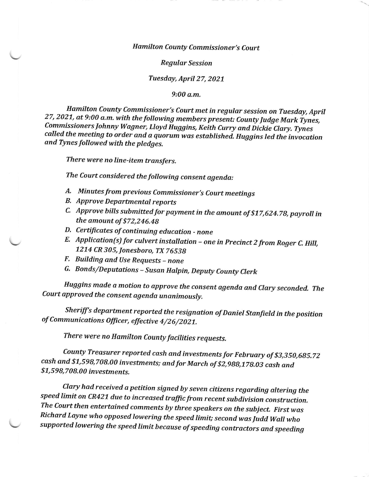## Hamilton County Commissioner's Court

## Regular Session

## Tuesday, April 27,2027

9:0O o.m.

27, 2021, at 9:00 a.m. with the following members present: County Judge Mark Tynes, Hamilton County Commissioner's Court met in regular session on Tuesday, April Commissioners Johnny Wagner, Lloyd Huggins, Keith Curry and Dickie Clary. Tynes<br>called the meeting to order and a quorum was established. Huggins led the invocation and Tynes followed with the pledges.

There were no line-item transfers.

The Court considered the following consent agenda:

- A. Minutes from previous Commissioner's Court meetings
- **B.** Approve Departmental reports
- c' Approve bills submitted for payment in the amount of \$17,624.78, payrol in the amount of \$72,246.48
- D. Certificates of continuing education none
- $E.$  Application(s) for culvert installation one in Precinct 2 from Roger C. Hill, 1214 CR 305, Jonesboro, TX 76539
- F. Building and Use Requests none
- G. Bonds/Deputations Susan Halpin, Deputy County Clerk

Huggins made a motion to approve the consent agenda and Clary seconded. The Court approved the consent agenda unanimously.

Sheriff's department reported the resignation of Daniel Stanfield in the position of Communications Oficer, effective 4/26/2027,

There were no Hamilton County facilities requests.

County Treasurer reported cash and investments for February of \$3,350,6g5.72 cash and \$7,598,708.00 investments; and for March of \$2,988,178.03 cash and \$1,598,708.00 investments.

Clary had received a petition signed by seven citizens regarding altering the speed limit on cR427 due to increased traffic from recent subdivision construction. Richard Layne who opposed lowering the speed limit; second was Judd Wall who<br>supported lowering the speed limit because of speeding contractors and speeding